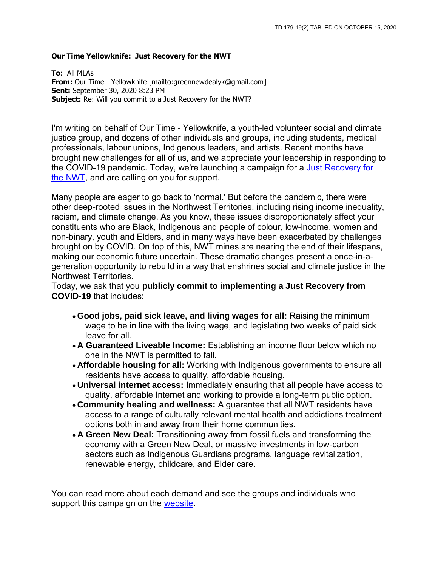#### **Our Time Yellowknife: Just Recovery for the NWT**

**To**: All MLAs **From:** Our Time - Yellowknife [mailto:greennewdealyk@gmail.com] **Sent:** September 30, 2020 8:23 PM **Subject:** Re: Will you commit to a Just Recovery for the NWT?

I'm writing on behalf of Our Time - Yellowknife, a youth-led volunteer social and climate justice group, and dozens of other individuals and groups, including students, medical professionals, labour unions, Indigenous leaders, and artists. Recent months have brought new challenges for all of us, and we appreciate your leadership in responding to the COVID-19 pandemic. Today, we're launching a campaign for a [Just Recovery for](https://smex12-5-en-ctp.trendmicro.com/wis/clicktime/v1/query?url=https%3a%2f%2fwww.justrecoverynwt.com&umid=2054be1e-d38a-4bbd-8c36-6a78b9bfe9df&auth=6153c64cd62e83a0d7c332ef92d816903759cb08-a4b1ca891049881fed16d270854c21ba7ba50d1c)  [the NWT,](https://smex12-5-en-ctp.trendmicro.com/wis/clicktime/v1/query?url=https%3a%2f%2fwww.justrecoverynwt.com&umid=2054be1e-d38a-4bbd-8c36-6a78b9bfe9df&auth=6153c64cd62e83a0d7c332ef92d816903759cb08-a4b1ca891049881fed16d270854c21ba7ba50d1c) and are calling on you for support.

Many people are eager to go back to 'normal.' But before the pandemic, there were other deep-rooted issues in the Northwest Territories, including rising income inequality, racism, and climate change. As you know, these issues disproportionately affect your constituents who are Black, Indigenous and people of colour, low-income, women and non-binary, youth and Elders, and in many ways have been exacerbated by challenges brought on by COVID. On top of this, NWT mines are nearing the end of their lifespans, making our economic future uncertain. These dramatic changes present a once-in-ageneration opportunity to rebuild in a way that enshrines social and climate justice in the Northwest Territories.

Today, we ask that you **publicly commit to implementing a Just Recovery from COVID-19** that includes:

- **Good jobs, paid sick leave, and living wages for all:** Raising the minimum wage to be in line with the living wage, and legislating two weeks of paid sick leave for all.
- **A Guaranteed Liveable Income:** Establishing an income floor below which no one in the NWT is permitted to fall.
- **Affordable housing for all:** Working with Indigenous governments to ensure all residents have access to quality, affordable housing.
- **Universal internet access:** Immediately ensuring that all people have access to quality, affordable Internet and working to provide a long-term public option.
- **Community healing and wellness:** A guarantee that all NWT residents have access to a range of culturally relevant mental health and addictions treatment options both in and away from their home communities.
- **A Green New Deal:** Transitioning away from fossil fuels and transforming the economy with a Green New Deal, or massive investments in low-carbon sectors such as Indigenous Guardians programs, language revitalization, renewable energy, childcare, and Elder care.

You can read more about each demand and see the groups and individuals who support this campaign on the [website.](https://smex12-5-en-ctp.trendmicro.com/wis/clicktime/v1/query?url=http%3a%2f%2fwww.justrecoverynwt.com&umid=2054be1e-d38a-4bbd-8c36-6a78b9bfe9df&auth=6153c64cd62e83a0d7c332ef92d816903759cb08-a3f4cfeafbb8ac9705729fe2893ffcb84a982210)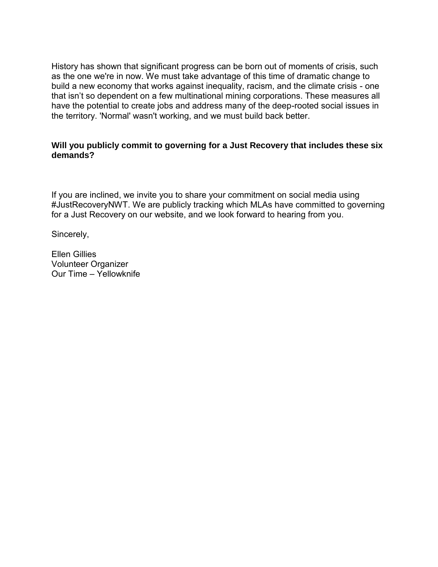History has shown that significant progress can be born out of moments of crisis, such as the one we're in now. We must take advantage of this time of dramatic change to build a new economy that works against inequality, racism, and the climate crisis - one that isn't so dependent on a few multinational mining corporations. These measures all have the potential to create jobs and address many of the deep-rooted social issues in the territory. 'Normal' wasn't working, and we must build back better.

#### **Will you publicly commit to governing for a Just Recovery that includes these six demands?**

If you are inclined, we invite you to share your commitment on social media using #JustRecoveryNWT. We are publicly tracking which MLAs have committed to governing for a Just Recovery on our website, and we look forward to hearing from you.

Sincerely,

Ellen Gillies Volunteer Organizer Our Time – Yellowknife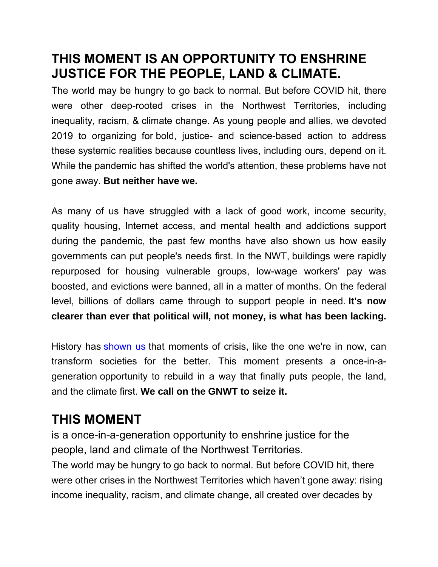#### **THIS MOMENT IS AN OPPORTUNITY TO ENSHRINE JUSTICE FOR THE PEOPLE, LAND & CLIMATE.**

The world may be hungry to go back to normal. But before COVID hit, there were other deep-rooted crises in the Northwest Territories, including inequality, racism, & climate change. As young people and allies, we devoted 2019 to organizing for bold, justice- and science-based action to address these systemic realities because countless lives, including ours, depend on it. While the pandemic has shifted the world's attention, these problems have not gone away. **But neither have we.**

As many of us have struggled with a lack of good work, income security, quality housing, Internet access, and mental health and addictions support during the pandemic, the past few months have also shown us how easily governments can put people's needs first. In the NWT, buildings were rapidly repurposed for housing vulnerable groups, low-wage workers' pay was boosted, and evictions were banned, all in a matter of months. On the federal level, billions of dollars came through to support people in need. **It's now clearer than ever that political will, not money, is what has been lacking.**

History has [shown](https://wagingnonviolence.org/2020/03/coronavirus-historic-trigger-event-needs-movement-response/) us that moments of crisis, like the one we're in now, can transform societies for the better. This moment presents a once-in-ageneration opportunity to rebuild in a way that finally puts people, the land, and the climate first. **We call on the GNWT to seize it.**

# **THIS MOMENT**

is a once-in-a-generation opportunity to enshrine justice for the people, land and climate of the Northwest Territories.

The world may be hungry to go back to normal. But before COVID hit, there were other crises in the Northwest Territories which haven't gone away: rising income inequality, racism, and climate change, all created over decades by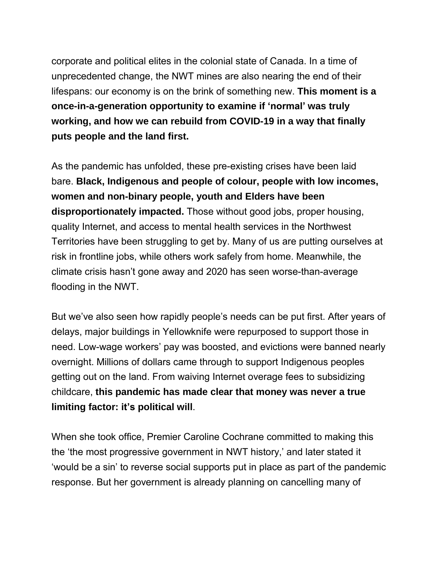corporate and political elites in the colonial state of Canada. In a time of unprecedented change, the NWT mines are also nearing the end of their lifespans: our economy is on the brink of something new. **This moment is a once-in-a-generation opportunity to examine if 'normal' was truly working, and how we can rebuild from COVID-19 in a way that finally puts people and the land first.**

As the pandemic has unfolded, these pre-existing crises have been laid bare. **Black, Indigenous and people of colour, people with low incomes, women and non-binary people, youth and Elders have been disproportionately impacted.** Those without good jobs, proper housing, quality Internet, and access to mental health services in the Northwest Territories have been struggling to get by. Many of us are putting ourselves at risk in frontline jobs, while others work safely from home. Meanwhile, the climate crisis hasn't gone away and 2020 has seen worse-than-average flooding in the NWT.

But we've also seen how rapidly people's needs can be put first. After years of delays, major buildings in Yellowknife were repurposed to support those in need. Low-wage workers' pay was boosted, and evictions were banned nearly overnight. Millions of dollars came through to support Indigenous peoples getting out on the land. From waiving Internet overage fees to subsidizing childcare, **this pandemic has made clear that money was never a true limiting factor: it's political will**.

When she took office, Premier Caroline Cochrane committed to making this the 'the most progressive government in NWT history,' and later stated it 'would be a sin' to reverse social supports put in place as part of the pandemic response. But her government is already planning on cancelling many of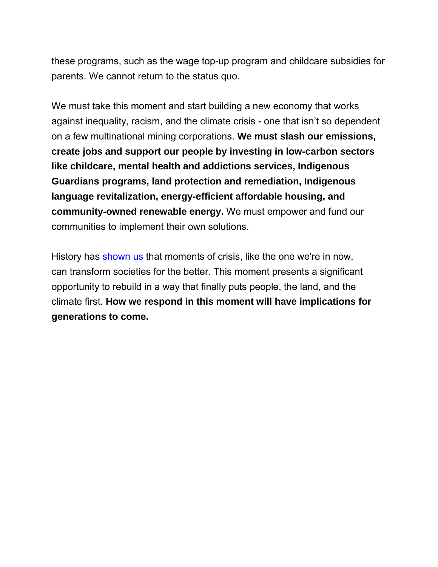these programs, such as the wage top-up program and childcare subsidies for parents. We cannot return to the status quo.

We must take this moment and start building a new economy that works against inequality, racism, and the climate crisis - one that isn't so dependent on a few multinational mining corporations. **We must slash our emissions, create jobs and support our people by investing in low-carbon sectors like childcare, mental health and addictions services, Indigenous Guardians programs, land protection and remediation, Indigenous language revitalization, energy-efficient affordable housing, and community-owned renewable energy.** We must empower and fund our communities to implement their own solutions.

History has [shown](https://wagingnonviolence.org/2020/03/coronavirus-historic-trigger-event-needs-movement-response/) us that moments of crisis, like the one we're in now, can transform societies for the better. This moment presents a significant opportunity to rebuild in a way that finally puts people, the land, and the climate first. **How we respond in this moment will have implications for generations to come.**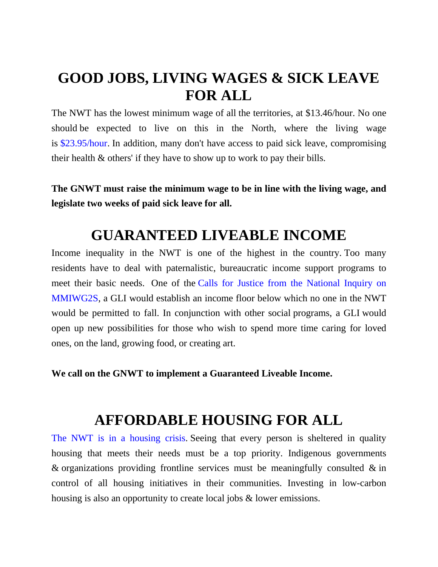# **GOOD JOBS, LIVING WAGES & SICK LEAVE FOR ALL**

The NWT has the lowest minimum wage of all the territories, at \$13.46/hour. No one should be expected to live on this in the North, where the living wage is [\\$23.95/hour.](https://anotheralt.files.wordpress.com/2019/03/nwt-2019-living-wage-report-final.pdf) In addition, many don't have access to paid sick leave, compromising their health & others' if they have to show up to work to pay their bills.

**The GNWT must raise the minimum wage to be in line with the living wage, and legislate two weeks of paid sick leave for all.**

### **GUARANTEED LIVEABLE INCOME**

Income inequality in the NWT is one of the highest in the country. Too many residents have to deal with paternalistic, bureaucratic income support programs to meet their basic needs. One of the Calls for Justice from the [National](https://www.mmiwg-ffada.ca/wp-content/uploads/2019/06/Calls_for_Justice.pdf) Inquiry on [MMIWG2S,](https://www.mmiwg-ffada.ca/wp-content/uploads/2019/06/Calls_for_Justice.pdf) a GLI would establish an income floor below which no one in the NWT would be permitted to fall. In conjunction with other social programs, a GLI would open up new possibilities for those who wish to spend more time caring for loved ones, on the land, growing food, or creating art.

**We call on the GNWT to implement a Guaranteed Liveable Income.**

#### **AFFORDABLE HOUSING FOR ALL**

The NWT is in a [housing](https://cabinradio.ca/26449/news/housing/figures-show-astonishing-scale-of-escalating-nwt-housing-crisis/) crisis. Seeing that every person is sheltered in quality housing that meets their needs must be a top priority. Indigenous governments & organizations providing frontline services must be meaningfully consulted  $\&$  in control of all housing initiatives in their communities. Investing in low-carbon housing is also an opportunity to create local jobs & lower emissions.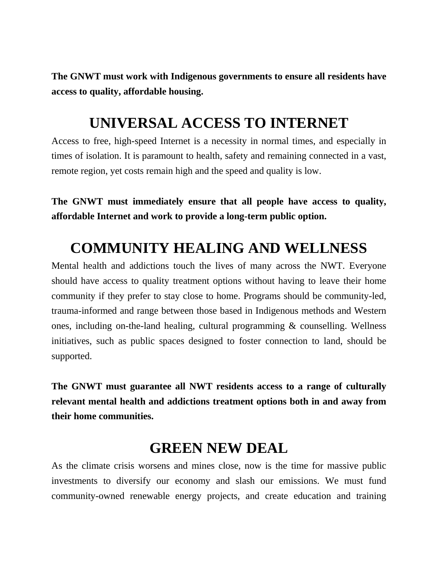**The GNWT must work with Indigenous governments to ensure all residents have access to quality, affordable housing.**

### **UNIVERSAL ACCESS TO INTERNET**

Access to free, high-speed Internet is a necessity in normal times, and especially in times of isolation. It is paramount to health, safety and remaining connected in a vast, remote region, yet costs remain high and the speed and quality is low.

**The GNWT must immediately ensure that all people have access to quality, affordable Internet and work to provide a long-term public option.**

### **COMMUNITY HEALING AND WELLNESS**

Mental health and addictions touch the lives of many across the NWT. Everyone should have access to quality treatment options without having to leave their home community if they prefer to stay close to home. Programs should be community-led, trauma-informed and range between those based in Indigenous methods and Western ones, including on-the-land healing, cultural programming & counselling. Wellness initiatives, such as public spaces designed to foster connection to land, should be supported.

**The GNWT must guarantee all NWT residents access to a range of culturally relevant mental health and addictions treatment options both in and away from their home communities.**

#### **GREEN NEW DEAL**

As the climate crisis worsens and mines close, now is the time for massive public investments to diversify our economy and slash our emissions. We must fund community-owned renewable energy projects, and create education and training